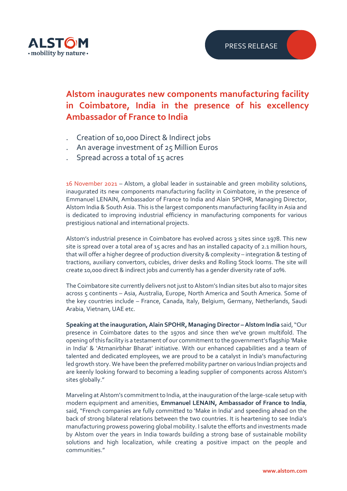

## **Alstom inaugurates new components manufacturing facility in Coimbatore, India in the presence of his excellency Ambassador of France to India**

- ․ Creation of 10,000 Direct & Indirect jobs
- ․ An average investment of 25 Million Euros
- ․ Spread across a total of 15 acres

16 November 2021 – Alstom, a global leader in sustainable and green mobility solutions, inaugurated its new components manufacturing facility in Coimbatore, in the presence of Emmanuel LENAIN, Ambassador of France to India and Alain SPOHR, Managing Director, Alstom India & South Asia. This is the largest components manufacturing facility in Asia and is dedicated to improving industrial efficiency in manufacturing components for various prestigious national and international projects.

Alstom's industrial presence in Coimbatore has evolved across 3 sites since 1978. This new site is spread over a total area of 15 acres and has an installed capacity of 2.1 million hours, that will offer a higher degree of production diversity & complexity – integration & testing of tractions, auxiliary convertors, cubicles, driver desks and Rolling Stock looms. The site will create 10,000 direct & indirect jobs and currently has a gender diversity rate of 20%.

The Coimbatore site currently delivers not just to Alstom's Indian sites but also to major sites across 5 continents - Asia, Australia, Europe, North America and South America. Some of the key countries include – France, Canada, Italy, Belgium, Germany, Netherlands, Saudi Arabia, Vietnam, UAE etc.

**Speaking at the inauguration, Alain SPOHR, Managing Director –Alstom India** said, "Our presence in Coimbatore dates to the 1970s and since then we've grown multifold. The opening of this facility is a testament of our commitment to the government's flagship 'Make in India' & 'Atmanirbhar Bharat' initiative. With our enhanced capabilities and a team of talented and dedicated employees, we are proud to be a catalyst in India's manufacturing led growth story. We have been the preferred mobility partner on various Indian projects and are keenly looking forward to becoming a leading supplier of components across Alstom's sites globally."

Marveling at Alstom's commitment to India, at the inauguration of the large-scale setup with modern equipment and amenities, **Emmanuel LENAIN, Ambassador of France to India**, said, "French companies are fully committed to 'Make in India' and speeding ahead on the back of strong bilateral relations between the two countries. It is heartening to see India's manufacturing prowess powering global mobility. I salute the efforts and investments made by Alstom over the years in India towards building a strong base of sustainable mobility solutions and high localization, while creating a positive impact on the people and communities."